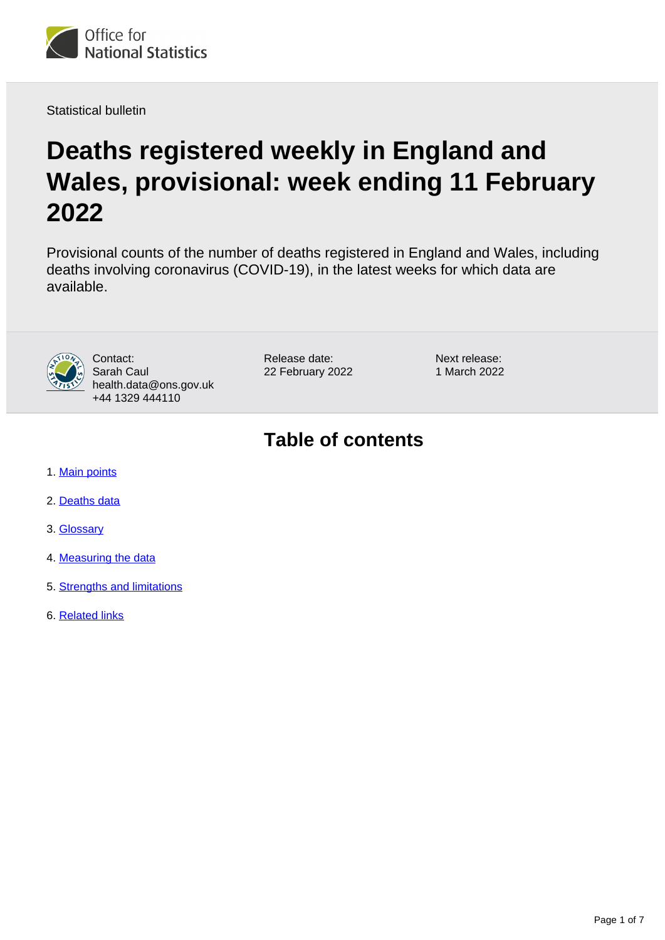

Statistical bulletin

# **Deaths registered weekly in England and Wales, provisional: week ending 11 February 2022**

Provisional counts of the number of deaths registered in England and Wales, including deaths involving coronavirus (COVID-19), in the latest weeks for which data are available.



Contact: Sarah Caul health.data@ons.gov.uk +44 1329 444110

Release date: 22 February 2022 Next release: 1 March 2022

## **Table of contents**

- 1. [Main points](#page-1-0)
- 2. [Deaths data](#page-2-0)
- 3. [Glossary](#page-3-0)
- 4. [Measuring the data](#page-3-1)
- 5. [Strengths and limitations](#page-4-0)
- 6. [Related links](#page-6-0)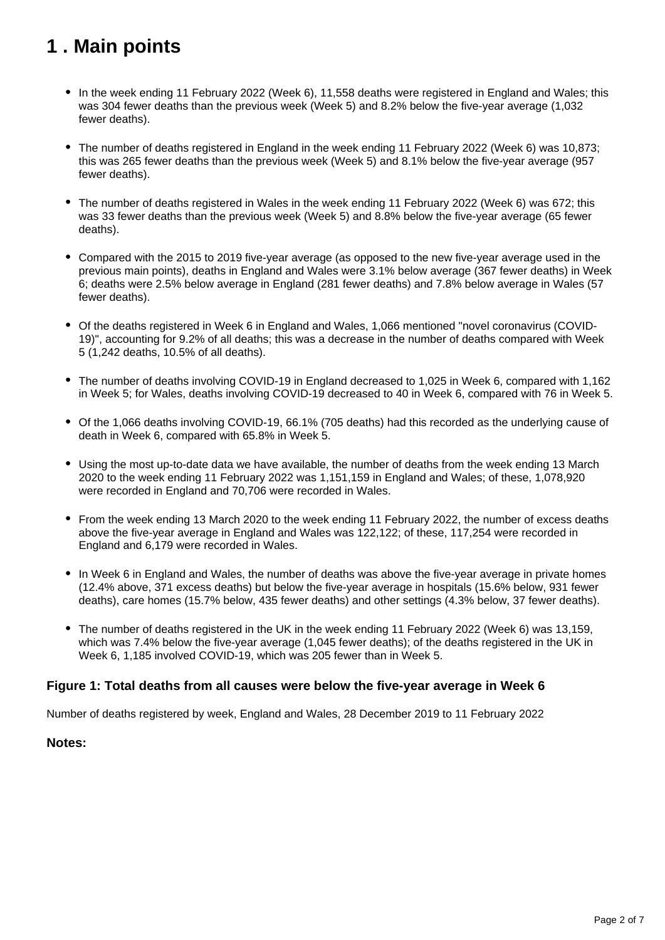## <span id="page-1-0"></span>**1 . Main points**

- In the week ending 11 February 2022 (Week 6), 11,558 deaths were registered in England and Wales; this was 304 fewer deaths than the previous week (Week 5) and 8.2% below the five-year average (1,032 fewer deaths).
- The number of deaths registered in England in the week ending 11 February 2022 (Week 6) was 10,873; this was 265 fewer deaths than the previous week (Week 5) and 8.1% below the five-year average (957 fewer deaths).
- The number of deaths registered in Wales in the week ending 11 February 2022 (Week 6) was 672; this was 33 fewer deaths than the previous week (Week 5) and 8.8% below the five-year average (65 fewer deaths).
- Compared with the 2015 to 2019 five-year average (as opposed to the new five-year average used in the previous main points), deaths in England and Wales were 3.1% below average (367 fewer deaths) in Week 6; deaths were 2.5% below average in England (281 fewer deaths) and 7.8% below average in Wales (57 fewer deaths).
- Of the deaths registered in Week 6 in England and Wales, 1,066 mentioned "novel coronavirus (COVID-19)", accounting for 9.2% of all deaths; this was a decrease in the number of deaths compared with Week 5 (1,242 deaths, 10.5% of all deaths).
- The number of deaths involving COVID-19 in England decreased to 1,025 in Week 6, compared with 1,162 in Week 5; for Wales, deaths involving COVID-19 decreased to 40 in Week 6, compared with 76 in Week 5.
- Of the 1,066 deaths involving COVID-19, 66.1% (705 deaths) had this recorded as the underlying cause of death in Week 6, compared with 65.8% in Week 5.
- Using the most up-to-date data we have available, the number of deaths from the week ending 13 March 2020 to the week ending 11 February 2022 was 1,151,159 in England and Wales; of these, 1,078,920 were recorded in England and 70,706 were recorded in Wales.
- From the week ending 13 March 2020 to the week ending 11 February 2022, the number of excess deaths above the five-year average in England and Wales was 122,122; of these, 117,254 were recorded in England and 6,179 were recorded in Wales.
- In Week 6 in England and Wales, the number of deaths was above the five-year average in private homes (12.4% above, 371 excess deaths) but below the five-year average in hospitals (15.6% below, 931 fewer deaths), care homes (15.7% below, 435 fewer deaths) and other settings (4.3% below, 37 fewer deaths).
- The number of deaths registered in the UK in the week ending 11 February 2022 (Week 6) was 13,159, which was 7.4% below the five-year average (1,045 fewer deaths); of the deaths registered in the UK in Week 6, 1,185 involved COVID-19, which was 205 fewer than in Week 5.

### **Figure 1: Total deaths from all causes were below the five-year average in Week 6**

Number of deaths registered by week, England and Wales, 28 December 2019 to 11 February 2022

### **Notes:**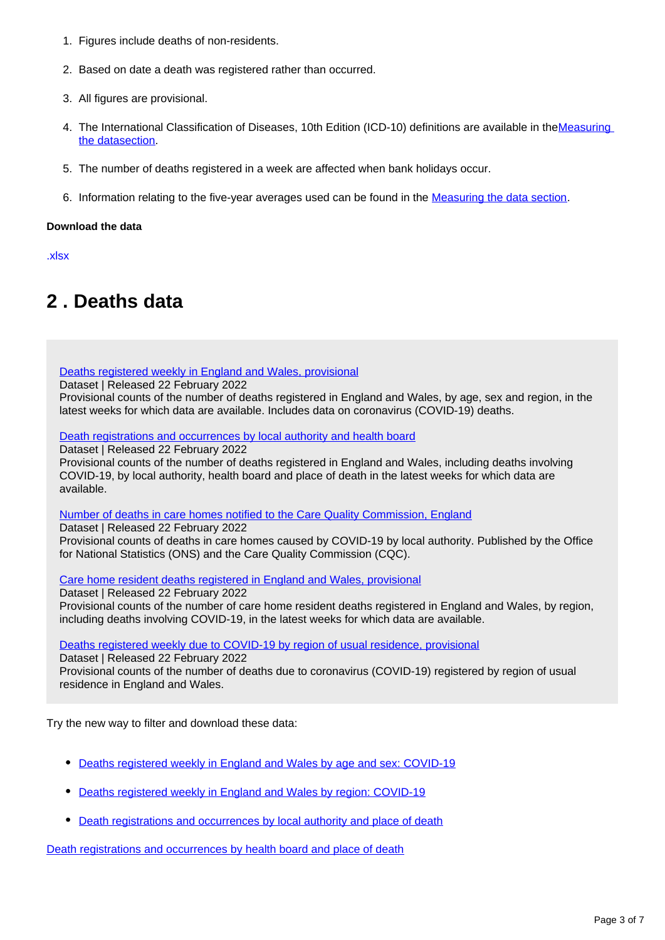- 1. Figures include deaths of non-residents.
- 2. Based on date a death was registered rather than occurred.
- 3. All figures are provisional.
- 4. The International Classification of Diseases, 10th Edition (ICD-10) definitions are available in theMeasuring [the datasection.](https://www.ons.gov.uk/peoplepopulationandcommunity/birthsdeathsandmarriages/deaths/bulletins/deathsregisteredweeklyinenglandandwalesprovisional/weekending21january2022#measuring-the-data)
- 5. The number of deaths registered in a week are affected when bank holidays occur.
- 6. Information relating to the five-year averages used can be found in the **Measuring the data section**.

#### **Download the data**

[.xlsx](https://www.ons.gov.uk/visualisations/dvc1823/fig1/datadownload.xlsx)

## <span id="page-2-0"></span>**2 . Deaths data**

[Deaths registered weekly in England and Wales, provisional](https://www.ons.gov.uk/peoplepopulationandcommunity/birthsdeathsandmarriages/deaths/datasets/weeklyprovisionalfiguresondeathsregisteredinenglandandwales)

Dataset | Released 22 February 2022

Provisional counts of the number of deaths registered in England and Wales, by age, sex and region, in the latest weeks for which data are available. Includes data on coronavirus (COVID-19) deaths.

[Death registrations and occurrences by local authority and health board](https://www.ons.gov.uk/peoplepopulationandcommunity/healthandsocialcare/causesofdeath/datasets/deathregistrationsandoccurrencesbylocalauthorityandhealthboard)

Dataset | Released 22 February 2022

Provisional counts of the number of deaths registered in England and Wales, including deaths involving COVID-19, by local authority, health board and place of death in the latest weeks for which data are available.

[Number of deaths in care homes notified to the Care Quality Commission, England](https://www.ons.gov.uk/peoplepopulationandcommunity/birthsdeathsandmarriages/deaths/datasets/numberofdeathsincarehomesnotifiedtotheca15)

Dataset | Released 22 February 2022

Provisional counts of deaths in care homes caused by COVID-19 by local authority. Published by the Office for National Statistics (ONS) and the Care Quality Commission (CQC).

[Care home resident deaths registered in England and Wales, provisional](https://www.ons.gov.uk/peoplepopulationandcommunity/birthsdeathsandmarriages/deaths/datasets/carehomeresidentdeathsregisteredinenglandandwalesprovisional)

Dataset | Released 22 February 2022 Provisional counts of the number of care home resident deaths registered in England and Wales, by region, including deaths involving COVID-19, in the latest weeks for which data are available.

[Deaths registered weekly due to COVID-19 by region of usual residence, provisional](http://www.ons.gov.uk/peoplepopulationandcommunity/birthsdeathsandmarriages/deaths/datasets/deathsregisteredweeklyduetocovid19byregionofusualresidenceprovisional)

Dataset | Released 22 February 2022

Provisional counts of the number of deaths due to coronavirus (COVID-19) registered by region of usual residence in England and Wales.

Try the new way to filter and download these data:

- [Deaths registered weekly in England and Wales by age and sex: COVID-19](https://www.ons.gov.uk/datasets/weekly-deaths-age-sex?%3Auri=weekly-deaths-age-sex%2F)
- [Deaths registered weekly in England and Wales by region: COVID-19](https://www.ons.gov.uk/datasets/weekly-deaths-region/)
- [Death registrations and occurrences by local authority and place of death](https://www.ons.gov.uk/datasets/weekly-deaths-region/)

[Death registrations and occurrences by health board and place of death](https://www.ons.gov.uk/datasets/weekly-deaths-region/)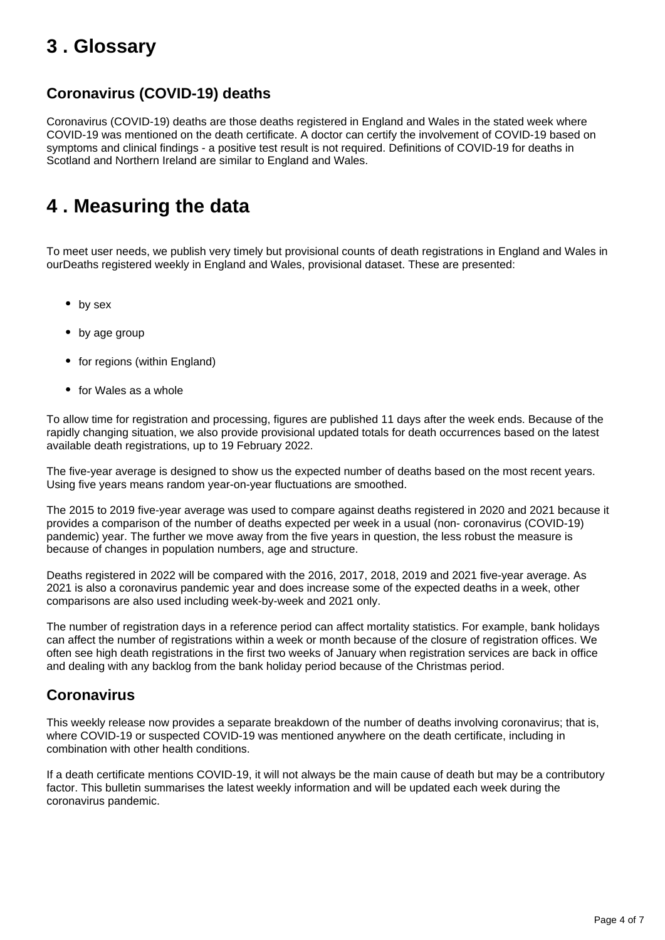## <span id="page-3-0"></span>**3 . Glossary**

### **Coronavirus (COVID-19) deaths**

Coronavirus (COVID-19) deaths are those deaths registered in England and Wales in the stated week where COVID-19 was mentioned on the death certificate. A doctor can certify the involvement of COVID-19 based on symptoms and clinical findings - a positive test result is not required. Definitions of COVID-19 for deaths in Scotland and Northern Ireland are similar to England and Wales.

## <span id="page-3-1"></span>**4 . Measuring the data**

To meet user needs, we publish very timely but provisional counts of death registrations in England and Wales in ourDeaths registered weekly in England and Wales, provisional dataset. These are presented:

- by sex
- by age group
- for regions (within England)
- for Wales as a whole

To allow time for registration and processing, figures are published 11 days after the week ends. Because of the rapidly changing situation, we also provide provisional updated totals for death occurrences based on the latest available death registrations, up to 19 February 2022.

The five-year average is designed to show us the expected number of deaths based on the most recent years. Using five years means random year-on-year fluctuations are smoothed.

The 2015 to 2019 five-year average was used to compare against deaths registered in 2020 and 2021 because it provides a comparison of the number of deaths expected per week in a usual (non- coronavirus (COVID-19) pandemic) year. The further we move away from the five years in question, the less robust the measure is because of changes in population numbers, age and structure.

Deaths registered in 2022 will be compared with the 2016, 2017, 2018, 2019 and 2021 five-year average. As 2021 is also a coronavirus pandemic year and does increase some of the expected deaths in a week, other comparisons are also used including week-by-week and 2021 only.

The number of registration days in a reference period can affect mortality statistics. For example, bank holidays can affect the number of registrations within a week or month because of the closure of registration offices. We often see high death registrations in the first two weeks of January when registration services are back in office and dealing with any backlog from the bank holiday period because of the Christmas period.

### **Coronavirus**

This weekly release now provides a separate breakdown of the number of deaths involving coronavirus; that is, where COVID-19 or suspected COVID-19 was mentioned anywhere on the death certificate, including in combination with other health conditions.

If a death certificate mentions COVID-19, it will not always be the main cause of death but may be a contributory factor. This bulletin summarises the latest weekly information and will be updated each week during the coronavirus pandemic.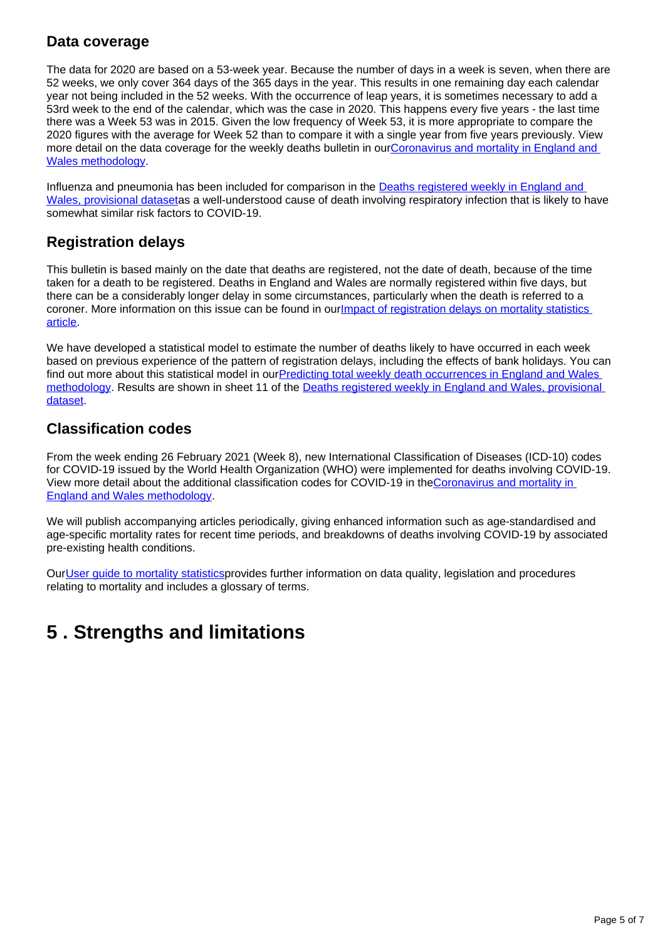### **Data coverage**

The data for 2020 are based on a 53-week year. Because the number of days in a week is seven, when there are 52 weeks, we only cover 364 days of the 365 days in the year. This results in one remaining day each calendar year not being included in the 52 weeks. With the occurrence of leap years, it is sometimes necessary to add a 53rd week to the end of the calendar, which was the case in 2020. This happens every five years - the last time there was a Week 53 was in 2015. Given the low frequency of Week 53, it is more appropriate to compare the 2020 figures with the average for Week 52 than to compare it with a single year from five years previously. View more detail on the data coverage for the weekly deaths bulletin in our[Coronavirus and mortality in England and](https://www.ons.gov.uk/peoplepopulationandcommunity/birthsdeathsandmarriages/deaths/methodologies/coronavirusandmortalityinenglandandwalesmethodology)  [Wales methodology](https://www.ons.gov.uk/peoplepopulationandcommunity/birthsdeathsandmarriages/deaths/methodologies/coronavirusandmortalityinenglandandwalesmethodology).

Influenza and pneumonia has been included for comparison in the **Deaths registered weekly in England and** [Wales, provisional dataseta](https://www.ons.gov.uk/peoplepopulationandcommunity/birthsdeathsandmarriages/deaths/methodologies/coronavirusandmortalityinenglandandwalesmethodology)s a well-understood cause of death involving respiratory infection that is likely to have somewhat similar risk factors to COVID-19.

### **Registration delays**

This bulletin is based mainly on the date that deaths are registered, not the date of death, because of the time taken for a death to be registered. Deaths in England and Wales are normally registered within five days, but there can be a considerably longer delay in some circumstances, particularly when the death is referred to a coroner. More information on this issue can be found in our**Impact of registration delays on mortality statistics** [article.](https://www.ons.gov.uk/peoplepopulationandcommunity/birthsdeathsandmarriages/deaths/articles/impactofregistrationdelaysonmortalitystatisticsinenglandandwales/2020)

We have developed a statistical model to estimate the number of deaths likely to have occurred in each week based on previous experience of the pattern of registration delays, including the effects of bank holidays. You can find out more about this statistical model in ourPredicting total weekly death occurrences in England and Wales [methodology.](https://www.ons.gov.uk/peoplepopulationandcommunity/birthsdeathsandmarriages/deaths/methodologies/predictingtotalweeklydeathoccurrencesinenglandandwalesmethodology) Results are shown in sheet 11 of the Deaths registered weekly in England and Wales, provisional [dataset.](https://www.ons.gov.uk/peoplepopulationandcommunity/birthsdeathsandmarriages/deaths/datasets/weeklyprovisionalfiguresondeathsregisteredinenglandandwales)

### **Classification codes**

From the week ending 26 February 2021 (Week 8), new International Classification of Diseases (ICD-10) codes for COVID-19 issued by the World Health Organization (WHO) were implemented for deaths involving COVID-19. View more detail about the additional classification codes for COVID-19 in the[Coronavirus and mortality in](https://www.ons.gov.uk/peoplepopulationandcommunity/birthsdeathsandmarriages/deaths/methodologies/coronavirusandmortalityinenglandandwalesmethodology)  [England and Wales methodology.](https://www.ons.gov.uk/peoplepopulationandcommunity/birthsdeathsandmarriages/deaths/methodologies/coronavirusandmortalityinenglandandwalesmethodology)

We will publish accompanying articles periodically, giving enhanced information such as age-standardised and age-specific mortality rates for recent time periods, and breakdowns of deaths involving COVID-19 by associated pre-existing health conditions.

Our[User guide to mortality statistics](https://www.ons.gov.uk/peoplepopulationandcommunity/birthsdeathsandmarriages/deaths/methodologies/userguidetomortalitystatisticsjuly2017)provides further information on data quality, legislation and procedures relating to mortality and includes a glossary of terms.

## <span id="page-4-0"></span>**5 . Strengths and limitations**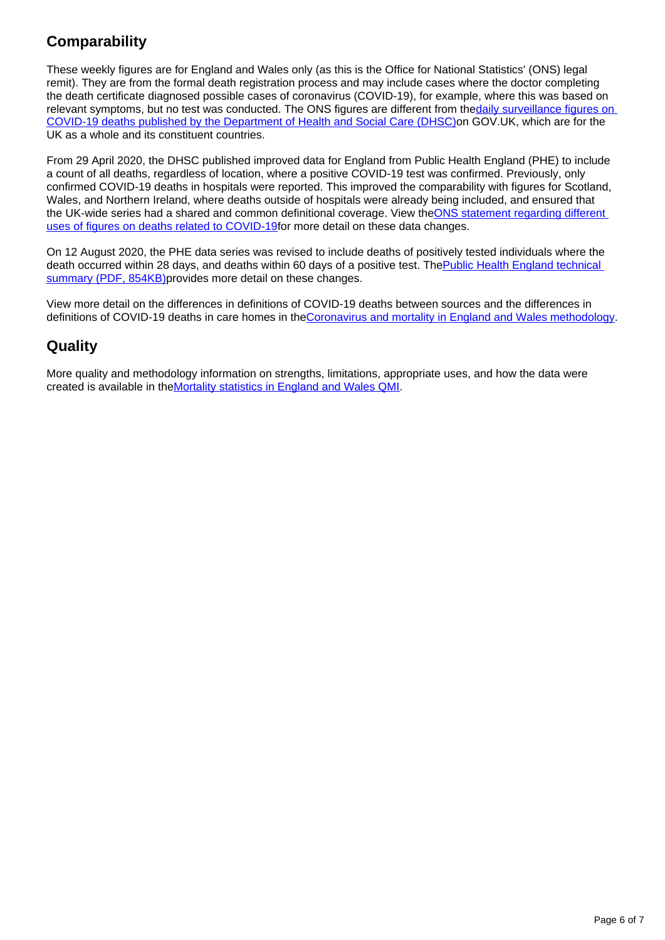## **Comparability**

These weekly figures are for England and Wales only (as this is the Office for National Statistics' (ONS) legal remit). They are from the formal death registration process and may include cases where the doctor completing the death certificate diagnosed possible cases of coronavirus (COVID-19), for example, where this was based on relevant symptoms, but no test was conducted. The ONS figures are different from the daily surveillance figures on [COVID-19 deaths published by the Department of Health and Social Care \(DHSC\)o](https://coronavirus.data.gov.uk/)n GOV.UK, which are for the UK as a whole and its constituent countries.

From 29 April 2020, the DHSC published improved data for England from Public Health England (PHE) to include a count of all deaths, regardless of location, where a positive COVID-19 test was confirmed. Previously, only confirmed COVID-19 deaths in hospitals were reported. This improved the comparability with figures for Scotland, Wales, and Northern Ireland, where deaths outside of hospitals were already being included, and ensured that the UK-wide series had a shared and common definitional coverage. View the ONS statement regarding different [uses of figures on deaths related to COVID-19f](https://www.ons.gov.uk/news/statementsandletters/thedifferentusesoffiguresondeathsfromcovid19publishedbydhscandtheons)or more detail on these data changes.

On 12 August 2020, the PHE data series was revised to include deaths of positively tested individuals where the death occurred within 28 days, and deaths within 60 days of a positive test. The Public Health England technical [summary \(PDF, 854KB\)p](https://assets.publishing.service.gov.uk/government/uploads/system/uploads/attachment_data/file/916035/RA_Technical_Summary_-_PHE_Data_Series_COVID_19_Deaths_20200812.pdf)rovides more detail on these changes.

View more detail on the differences in definitions of COVID-19 deaths between sources and the differences in definitions of COVID-19 deaths in care homes in th[eCoronavirus and mortality in England and Wales methodology.](https://www.ons.gov.uk/peoplepopulationandcommunity/birthsdeathsandmarriages/deaths/methodologies/coronavirusandmortalityinenglandandwalesmethodology)

### **Quality**

More quality and methodology information on strengths, limitations, appropriate uses, and how the data were created is available in the[Mortality statistics in England and Wales QMI.](https://www.ons.gov.uk/peoplepopulationandcommunity/birthsdeathsandmarriages/deaths/methodologies/mortalitystatisticsinenglandandwalesqmi)